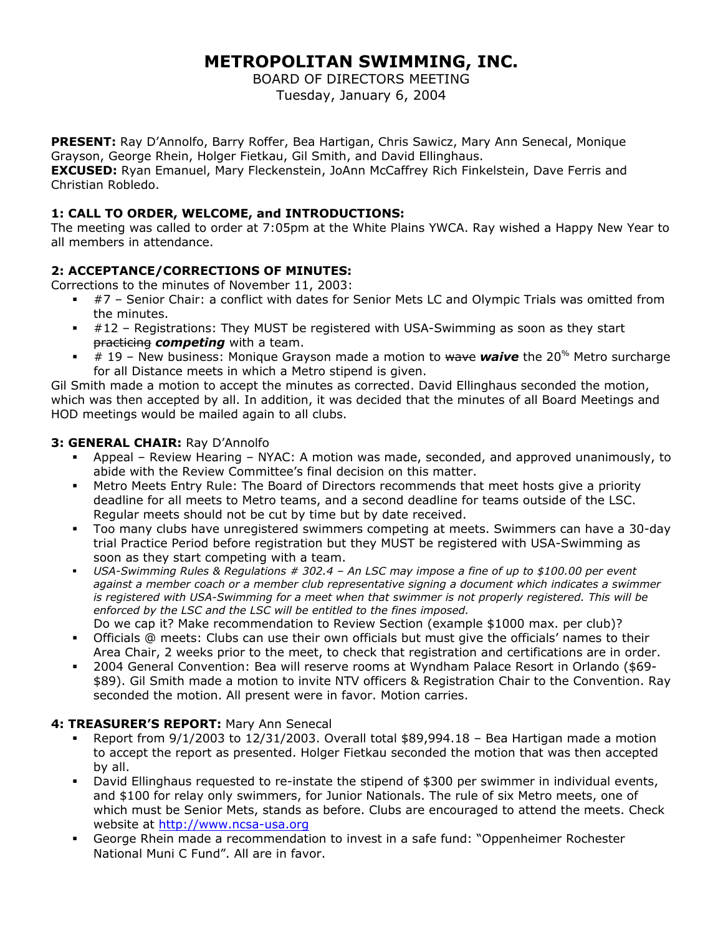# **METROPOLITAN SWIMMING, INC.**

BOARD OF DIRECTORS MEETING Tuesday, January 6, 2004

**PRESENT:** Ray D'Annolfo, Barry Roffer, Bea Hartigan, Chris Sawicz, Mary Ann Senecal, Monique Grayson, George Rhein, Holger Fietkau, Gil Smith, and David Ellinghaus. **EXCUSED:** Ryan Emanuel, Mary Fleckenstein, JoAnn McCaffrey Rich Finkelstein, Dave Ferris and Christian Robledo.

# **1: CALL TO ORDER, WELCOME, and INTRODUCTIONS:**

The meeting was called to order at 7:05pm at the White Plains YWCA. Ray wished a Happy New Year to all members in attendance.

# **2: ACCEPTANCE/CORRECTIONS OF MINUTES:**

Corrections to the minutes of November 11, 2003:

- #7 Senior Chair: a conflict with dates for Senior Mets LC and Olympic Trials was omitted from the minutes.
- #12 Registrations: They MUST be registered with USA-Swimming as soon as they start practicing *competing* with a team.
- # 19 New business: Monique Grayson made a motion to wave *waive* the 20% Metro surcharge for all Distance meets in which a Metro stipend is given.

Gil Smith made a motion to accept the minutes as corrected. David Ellinghaus seconded the motion, which was then accepted by all. In addition, it was decided that the minutes of all Board Meetings and HOD meetings would be mailed again to all clubs.

#### **3: GENERAL CHAIR:** Ray D'Annolfo

- Appeal Review Hearing NYAC: A motion was made, seconded, and approved unanimously, to abide with the Review Committee's final decision on this matter.
- Metro Meets Entry Rule: The Board of Directors recommends that meet hosts give a priority deadline for all meets to Metro teams, and a second deadline for teams outside of the LSC. Regular meets should not be cut by time but by date received.
- Too many clubs have unregistered swimmers competing at meets. Swimmers can have a 30-day trial Practice Period before registration but they MUST be registered with USA-Swimming as soon as they start competing with a team.
- *USA-Swimming Rules & Regulations # 302.4 An LSC may impose a fine of up to \$100.00 per event*  against a member coach or a member club representative signing a document which indicates a swimmer is registered with USA-Swimming for a meet when that swimmer is not properly registered. This will be *enforced by the LSC and the LSC will be entitled to the fines imposed.*
- Do we cap it? Make recommendation to Review Section (example \$1000 max. per club)? Officials @ meets: Clubs can use their own officials but must give the officials' names to their
- Area Chair, 2 weeks prior to the meet, to check that registration and certifications are in order. 2004 General Convention: Bea will reserve rooms at Wyndham Palace Resort in Orlando (\$69- \$89). Gil Smith made a motion to invite NTV officers & Registration Chair to the Convention. Ray seconded the motion. All present were in favor. Motion carries.

#### **4: TREASURER'S REPORT:** Mary Ann Senecal

- Report from 9/1/2003 to 12/31/2003. Overall total \$89,994.18 Bea Hartigan made a motion to accept the report as presented. Holger Fietkau seconded the motion that was then accepted by all.
- David Ellinghaus requested to re-instate the stipend of \$300 per swimmer in individual events, and \$100 for relay only swimmers, for Junior Nationals. The rule of six Metro meets, one of which must be Senior Mets, stands as before. Clubs are encouraged to attend the meets. Check website at [http://www.ncsa-usa.org](http://www.ncsa-usa.org/)
- George Rhein made a recommendation to invest in a safe fund: "Oppenheimer Rochester National Muni C Fund". All are in favor.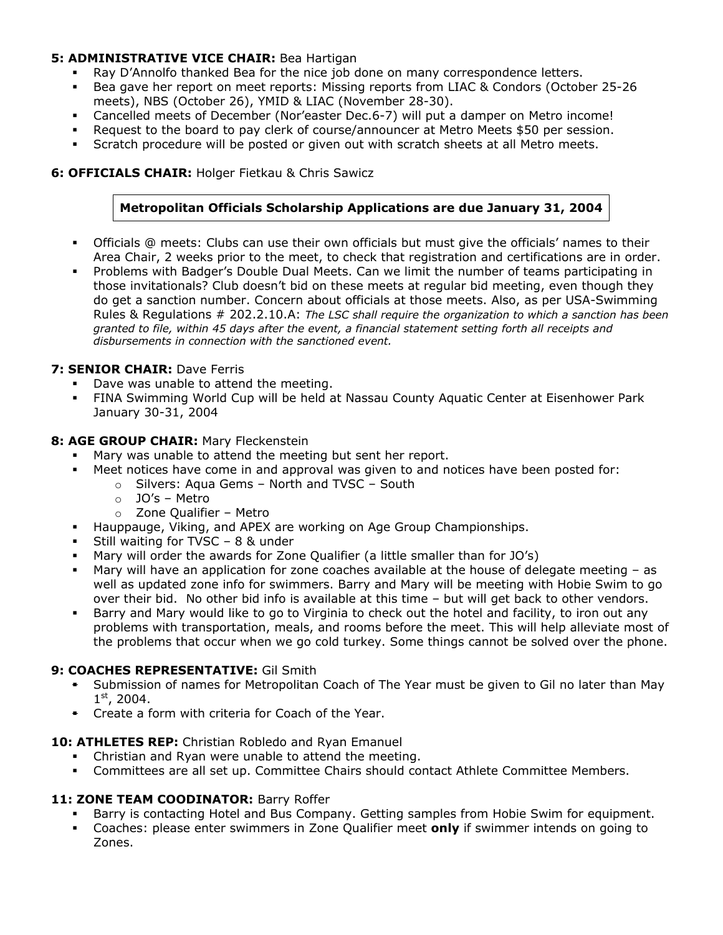#### **5: ADMINISTRATIVE VICE CHAIR:** Bea Hartigan

- Ray D'Annolfo thanked Bea for the nice job done on many correspondence letters.
- Bea gave her report on meet reports: Missing reports from LIAC & Condors (October 25-26 meets), NBS (October 26), YMID & LIAC (November 28-30).
- **Cancelled meets of December (Nor'easter Dec.6-7) will put a damper on Metro income!**<br>**EXECTED Marget State on the board to pay clerk of course/announcer at Metro Meets \$50 per session**
- Request to the board to pay clerk of course/announcer at Metro Meets \$50 per session.
- Scratch procedure will be posted or given out with scratch sheets at all Metro meets.

### **6: OFFICIALS CHAIR:** Holger Fietkau & Chris Sawicz

# **Metropolitan Officials Scholarship Applications are due January 31, 2004**

- Officials @ meets: Clubs can use their own officials but must give the officials' names to their Area Chair, 2 weeks prior to the meet, to check that registration and certifications are in order.
- Problems with Badger's Double Dual Meets. Can we limit the number of teams participating in those invitationals? Club doesn't bid on these meets at regular bid meeting, even though they do get a sanction number. Concern about officials at those meets. Also, as per USA-Swimming Rules & Regulations # 202.2.10.A: *The LSC shall require the organization to which a sanction has been granted to file, within 45 days after the event, a financial statement setting forth all receipts and disbursements in connection with the sanctioned event.*

#### **7: SENIOR CHAIR: Dave Ferris**

- Dave was unable to attend the meeting.
- FINA Swimming World Cup will be held at Nassau County Aquatic Center at Eisenhower Park January 30-31, 2004

#### **8: AGE GROUP CHAIR:** Mary Fleckenstein

- Mary was unable to attend the meeting but sent her report.
- Meet notices have come in and approval was given to and notices have been posted for:
	- o Silvers: Aqua Gems North and TVSC South
		- o JO's Metro
		- o Zone Qualifier Metro
- Hauppauge, Viking, and APEX are working on Age Group Championships.
- Still waiting for TVSC 8 & under
- Mary will order the awards for Zone Qualifier (a little smaller than for JO's)
- Mary will have an application for zone coaches available at the house of delegate meeting as well as updated zone info for swimmers. Barry and Mary will be meeting with Hobie Swim to go over their bid. No other bid info is available at this time – but will get back to other vendors.
- Barry and Mary would like to go to Virginia to check out the hotel and facility, to iron out any problems with transportation, meals, and rooms before the meet. This will help alleviate most of the problems that occur when we go cold turkey. Some things cannot be solved over the phone.

#### **9: COACHES REPRESENTATIVE:** Gil Smith

- Submission of names for Metropolitan Coach of The Year must be given to Gil no later than May  $1<sup>st</sup>$ , 2004.
- **EXT** Create a form with criteria for Coach of the Year.

#### **10: ATHLETES REP:** Christian Robledo and Ryan Emanuel

- Christian and Ryan were unable to attend the meeting.
- Committees are all set up. Committee Chairs should contact Athlete Committee Members.

#### 11: **ZONE TEAM COODINATOR:** Barry Roffer

- Barry is contacting Hotel and Bus Company. Getting samples from Hobie Swim for equipment.
- Coaches: please enter swimmers in Zone Qualifier meet **only** if swimmer intends on going to Zones.